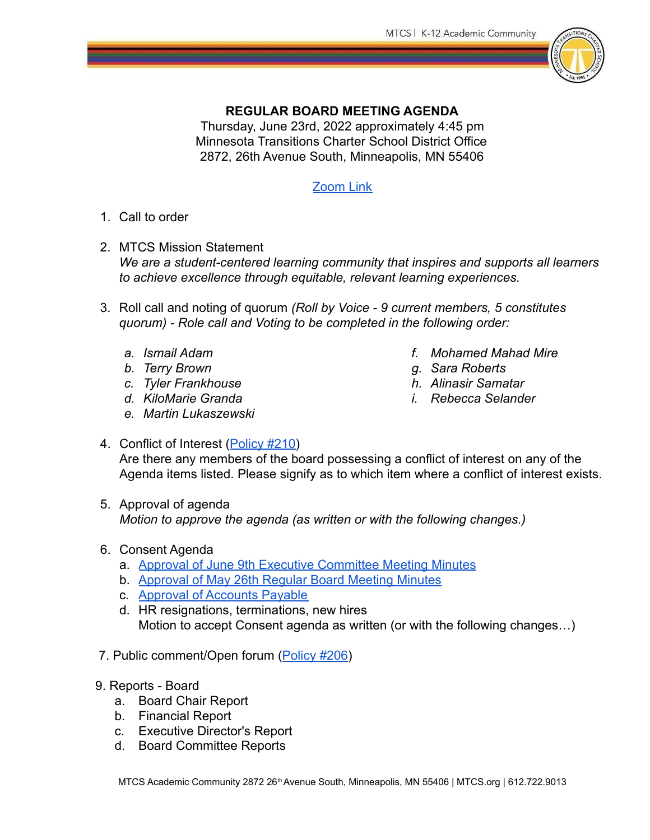

## **REGULAR BOARD MEETING AGENDA**

Thursday, June 23rd, 2022 approximately 4:45 pm Minnesota Transitions Charter School District Office 2872, 26th Avenue South, Minneapolis, MN 55406

## [Zoom Link](https://us05web.zoom.us/j/86257704445?pwd=cFBDalI5VnhhODVnQ2RJeDM0YUpBQT09)

- 1. Call to order
- 2. MTCS Mission Statement *We are a student-centered learning community that inspires and supports all learners to achieve excellence through equitable, relevant learning experiences.*
- 3. Roll call and noting of quorum *(Roll by Voice 9 current members, 5 constitutes quorum) - Role call and Voting to be completed in the following order:*
	- *a. Ismail Adam*
	- *b. Terry Brown*
	- *c. Tyler Frankhouse*
	- *d. KiloMarie Granda*
	- *e. Martin Lukaszewski*
- *f. Mohamed Mahad Mire*
- *g. Sara Roberts*
- *h. Alinasir Samatar*
- *i. Rebecca Selander*
- 4. Conflict of Interest ([Policy #210\)](https://eadn-wc02-3247921.nxedge.io/cdn/wp-content/uploads/2017/08/210-1-Conflict-of-Interest-for-Board-Members.pdf) Are there any members of the board possessing a conflict of interest on any of the Agenda items listed. Please signify as to which item where a conflict of interest exists.
- 5. Approval of agenda *Motion to approve the agenda (as written or with the following changes.)*
- 6. Consent Agenda
	- a. [Approval of June 9th Executive Committee Meeting Minutes](https://docs.google.com/document/d/1KSBKnjOc1-1phrtAh0tOqrA2eyR64dGuYDcHaCJwnns/edit?usp=sharing)
	- b. [Approval of May 26th Regular Board Meeting Minutes](https://docs.google.com/document/d/1bH924v06SNbhhJE6oJn8k_O-OEDbQsS82e6y8enOO9E/edit?usp=sharing)
	- c. [Approval of Accounts Payable](https://drive.google.com/file/d/1eUbGMJCfwyw_PFVn32wtMoWU0Y70LCaY/view?usp=sharing)
	- d. HR resignations, terminations, new hires Motion to accept Consent agenda as written (or with the following changes…)
- 7. Public comment/Open forum ([Policy #206\)](https://mtcs.org/wp-content/uploads/2017/08/206-Public-Participation-in-School-Board-Meetings.pdf)
- 9. Reports Board
	- a. Board Chair Report
	- b. Financial Report
	- c. Executive Director's Report
	- d. Board Committee Reports